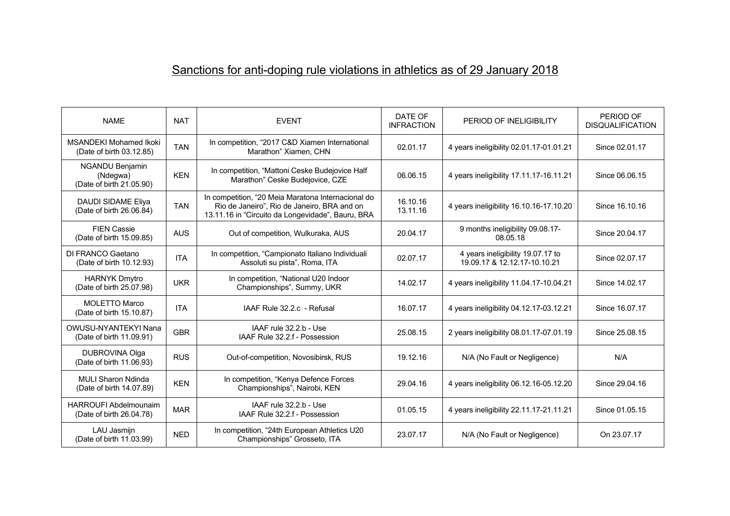## Sanctions for anti-doping rule violations in athletics as of 29 January 2018

| <b>NAME</b>                                                    | <b>NAT</b> | <b>EVENT</b>                                                                                                                                           | DATE OF<br><b>INFRACTION</b> | PERIOD OF INELIGIBILITY                                           | PERIOD OF<br><b>DISQUALIFICATION</b> |
|----------------------------------------------------------------|------------|--------------------------------------------------------------------------------------------------------------------------------------------------------|------------------------------|-------------------------------------------------------------------|--------------------------------------|
| <b>MSANDEKI Mohamed Ikoki</b><br>(Date of birth 03.12.85)      | <b>TAN</b> | In competition, "2017 C&D Xiamen International<br>Marathon" Xiamen, CHN                                                                                | 02.01.17                     | 4 years ineligibility 02.01.17-01.01.21                           | Since 02.01.17                       |
| <b>NGANDU Benjamin</b><br>(Ndegwa)<br>(Date of birth 21.05.90) | <b>KEN</b> | In competition, "Mattoni Ceske Budejovice Half<br>Marathon" Ceske Budejovice, CZE                                                                      | 06.06.15                     | 4 years ineligibility 17.11.17-16.11.21                           | Since 06.06.15                       |
| DAUDI SIDAME Eliya<br>(Date of birth 26.06.84)                 | <b>TAN</b> | In competition, "20 Meia Maratona Internacional do<br>Rio de Janeiro", Rio de Janeiro, BRA and on<br>13.11.16 in "Circuito da Longevidade", Bauru, BRA | 16.10.16<br>13.11.16         | 4 years ineligibility 16.10.16-17.10.20                           | Since 16.10.16                       |
| <b>FIEN Cassie</b><br>(Date of birth 15.09.85)                 | <b>AUS</b> | Out of competition, Wulkuraka, AUS                                                                                                                     | 20.04.17                     | 9 months ineligibility 09.08.17-<br>08.05.18                      | Since 20.04.17                       |
| DI FRANCO Gaetano<br>(Date of birth 10.12.93)                  | <b>ITA</b> | In competition, "Campionato Italiano Individuali<br>Assoluti su pista", Roma, ITA                                                                      | 02.07.17                     | 4 years ineligibility 19.07.17 to<br>19.09.17 & 12.12.17-10.10.21 | Since 02.07.17                       |
| <b>HARNYK Dmytro</b><br>(Date of birth 25.07.98)               | <b>UKR</b> | In competition, "National U20 Indoor<br>Championships", Summy, UKR                                                                                     | 14.02.17                     | 4 years ineligibility 11.04.17-10.04.21                           | Since 14.02.17                       |
| MOLETTO Marco<br>(Date of birth 15.10.87)                      | <b>ITA</b> | IAAF Rule 32.2.c - Refusal                                                                                                                             | 16.07.17                     | 4 years ineligibility 04.12.17-03.12.21                           | Since 16.07.17                       |
| OWUSU-NYANTEKYI Nana<br>(Date of birth 11.09.91)               | <b>GBR</b> | IAAF rule 32.2.b - Use<br>IAAF Rule 32.2.f - Possession                                                                                                | 25.08.15                     | 2 years ineligibility 08.01.17-07.01.19                           | Since 25.08.15                       |
| DUBROVINA Olga<br>(Date of birth 11.06.93)                     | <b>RUS</b> | Out-of-competition, Novosibirsk, RUS                                                                                                                   | 19.12.16                     | N/A (No Fault or Negligence)                                      | N/A                                  |
| <b>MULI Sharon Ndinda</b><br>(Date of birth 14.07.89)          | <b>KEN</b> | In competition, "Kenya Defence Forces<br>Championships", Nairobi, KEN                                                                                  | 29.04.16                     | 4 years ineligibility 06.12.16-05.12.20                           | Since 29.04.16                       |
| <b>HARROUFI Abdelmounaim</b><br>(Date of birth 26.04.78)       | <b>MAR</b> | IAAF rule 32.2.b - Use<br>IAAF Rule 32.2.f - Possession                                                                                                | 01.05.15                     | 4 years ineligibility 22.11.17-21.11.21                           | Since 01.05.15                       |
| LAU Jasmijn<br>(Date of birth 11.03.99)                        | <b>NED</b> | In competition, "24th European Athletics U20<br>Championships" Grosseto, ITA                                                                           | 23.07.17                     | N/A (No Fault or Negligence)                                      | On 23.07.17                          |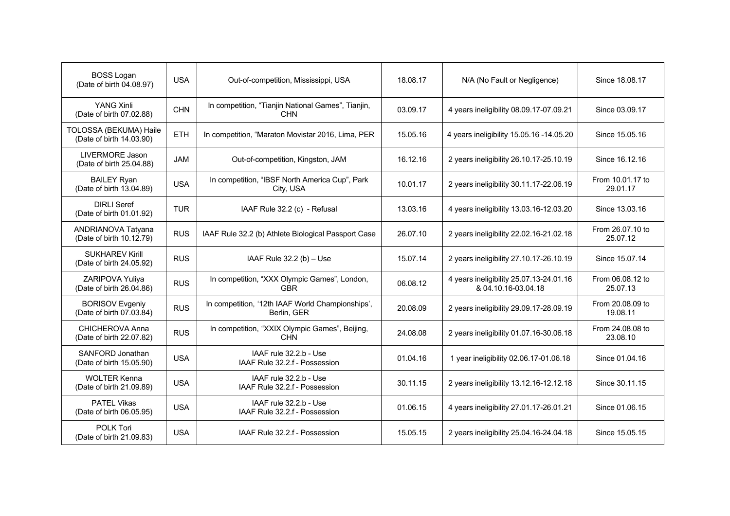| <b>BOSS Logan</b><br>(Date of birth 04.08.97)      | <b>USA</b> | Out-of-competition, Mississippi, USA                             | 18.08.17 | N/A (No Fault or Negligence)                                   | Since 18.08.17               |
|----------------------------------------------------|------------|------------------------------------------------------------------|----------|----------------------------------------------------------------|------------------------------|
| YANG Xinli<br>(Date of birth 07.02.88)             | <b>CHN</b> | In competition, "Tianjin National Games", Tianjin,<br><b>CHN</b> | 03.09.17 | 4 years ineligibility 08.09.17-07.09.21                        | Since 03.09.17               |
| TOLOSSA (BEKUMA) Haile<br>(Date of birth 14.03.90) | <b>ETH</b> | In competition, "Maraton Movistar 2016, Lima, PER                | 15.05.16 | 4 years ineligibility 15.05.16 -14.05.20                       | Since 15.05.16               |
| LIVERMORE Jason<br>(Date of birth 25.04.88)        | JAM        | Out-of-competition, Kingston, JAM                                | 16.12.16 | 2 years ineligibility 26.10.17-25.10.19                        | Since 16.12.16               |
| <b>BAILEY Ryan</b><br>(Date of birth 13.04.89)     | <b>USA</b> | In competition, "IBSF North America Cup", Park<br>City, USA      | 10.01.17 | 2 years ineligibility 30.11.17-22.06.19                        | From 10.01.17 to<br>29.01.17 |
| <b>DIRLI Seref</b><br>(Date of birth 01.01.92)     | <b>TUR</b> | IAAF Rule 32.2 (c) - Refusal                                     | 13.03.16 | 4 years ineligibility 13.03.16-12.03.20                        | Since 13.03.16               |
| ANDRIANOVA Tatyana<br>(Date of birth 10.12.79)     | <b>RUS</b> | IAAF Rule 32.2 (b) Athlete Biological Passport Case              | 26.07.10 | 2 years ineligibility 22.02.16-21.02.18                        | From 26.07.10 to<br>25.07.12 |
| <b>SUKHAREV Kirill</b><br>(Date of birth 24.05.92) | <b>RUS</b> | IAAF Rule $32.2$ (b) $-$ Use                                     | 15.07.14 | 2 years ineligibility 27.10.17-26.10.19                        | Since 15.07.14               |
| ZARIPOVA Yuliya<br>(Date of birth 26.04.86)        | <b>RUS</b> | In competition, "XXX Olympic Games", London,<br><b>GBR</b>       | 06.08.12 | 4 years ineligibility 25.07.13-24.01.16<br>& 04.10.16-03.04.18 | From 06.08.12 to<br>25.07.13 |
| <b>BORISOV Evgeniy</b><br>(Date of birth 07.03.84) | <b>RUS</b> | In competition, '12th IAAF World Championships',<br>Berlin, GER  | 20.08.09 | 2 years ineligibility 29.09.17-28.09.19                        | From 20.08.09 to<br>19.08.11 |
| CHICHEROVA Anna<br>(Date of birth 22.07.82)        | <b>RUS</b> | In competition, "XXIX Olympic Games", Beijing,<br><b>CHN</b>     | 24.08.08 | 2 years ineligibility 01.07.16-30.06.18                        | From 24.08.08 to<br>23.08.10 |
| SANFORD Jonathan<br>(Date of birth 15.05.90)       | <b>USA</b> | IAAF rule 32.2.b - Use<br>IAAF Rule 32.2.f - Possession          | 01.04.16 | 1 year ineligibility 02.06.17-01.06.18                         | Since 01.04.16               |
| <b>WOLTER Kenna</b><br>(Date of birth 21.09.89)    | <b>USA</b> | IAAF rule 32.2.b - Use<br>IAAF Rule 32.2.f - Possession          | 30.11.15 | 2 years ineligibility 13.12.16-12.12.18                        | Since 30.11.15               |
| <b>PATEL Vikas</b><br>(Date of birth 06.05.95)     | <b>USA</b> | IAAF rule 32.2.b - Use<br>IAAF Rule 32.2.f - Possession          | 01.06.15 | 4 years ineligibility 27.01.17-26.01.21                        | Since 01.06.15               |
| POLK Tori<br>(Date of birth 21.09.83)              | <b>USA</b> | IAAF Rule 32.2.f - Possession                                    | 15.05.15 | 2 years ineligibility 25.04.16-24.04.18                        | Since 15.05.15               |